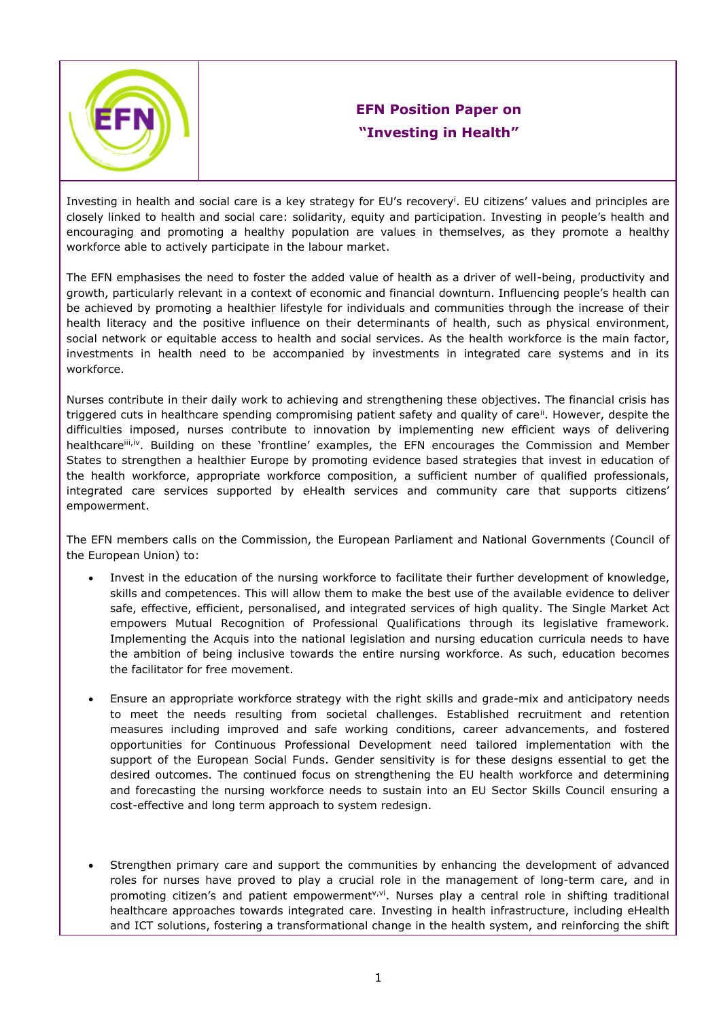

## **EFN Position Paper on "Investing in Health"**

Investing in health and social care is a key strategy for EU's recovery<sup>i</sup>. EU citizens' values and principles are closely linked to health and social care: solidarity, equity and participation. Investing in people's health and encouraging and promoting a healthy population are values in themselves, as they promote a healthy workforce able to actively participate in the labour market.

The EFN emphasises the need to foster the added value of health as a driver of well-being, productivity and growth, particularly relevant in a context of economic and financial downturn. Influencing people's health can be achieved by promoting a healthier lifestyle for individuals and communities through the increase of their health literacy and the positive influence on their determinants of health, such as physical environment, social network or equitable access to health and social services. As the health workforce is the main factor, investments in health need to be accompanied by investments in integrated care systems and in its workforce.

Nurses contribute in their daily work to achieving and strengthening these objectives. The financial crisis has triggered cuts in healthcare spending compromising patient safety and quality of care<sup>ii</sup>. However, despite the difficulties imposed, nurses contribute to innovation by implementing new efficient ways of delivering healthcare<sup>iii,iv</sup>. Building on these 'frontline' examples, the EFN encourages the Commission and Member States to strengthen a healthier Europe by promoting evidence based strategies that invest in education of the health workforce, appropriate workforce composition, a sufficient number of qualified professionals, integrated care services supported by eHealth services and community care that supports citizens' empowerment.

The EFN members calls on the Commission, the European Parliament and National Governments (Council of the European Union) to:

- Invest in the education of the nursing workforce to facilitate their further development of knowledge, skills and competences. This will allow them to make the best use of the available evidence to deliver safe, effective, efficient, personalised, and integrated services of high quality. The Single Market Act empowers Mutual Recognition of Professional Qualifications through its legislative framework. Implementing the Acquis into the national legislation and nursing education curricula needs to have the ambition of being inclusive towards the entire nursing workforce. As such, education becomes the facilitator for free movement.
- Ensure an appropriate workforce strategy with the right skills and grade-mix and anticipatory needs to meet the needs resulting from societal challenges. Established recruitment and retention measures including improved and safe working conditions, career advancements, and fostered opportunities for Continuous Professional Development need tailored implementation with the support of the European Social Funds. Gender sensitivity is for these designs essential to get the desired outcomes. The continued focus on strengthening the EU health workforce and determining and forecasting the nursing workforce needs to sustain into an EU Sector Skills Council ensuring a cost-effective and long term approach to system redesign.
- Strengthen primary care and support the communities by enhancing the development of advanced roles for nurses have proved to play a crucial role in the management of long-term care, and in promoting citizen's and patient empowerment<sup>y, yi</sup>. Nurses play a central role in shifting traditional healthcare approaches towards integrated care. Investing in health infrastructure, including eHealth and ICT solutions, fostering a transformational change in the health system, and reinforcing the shift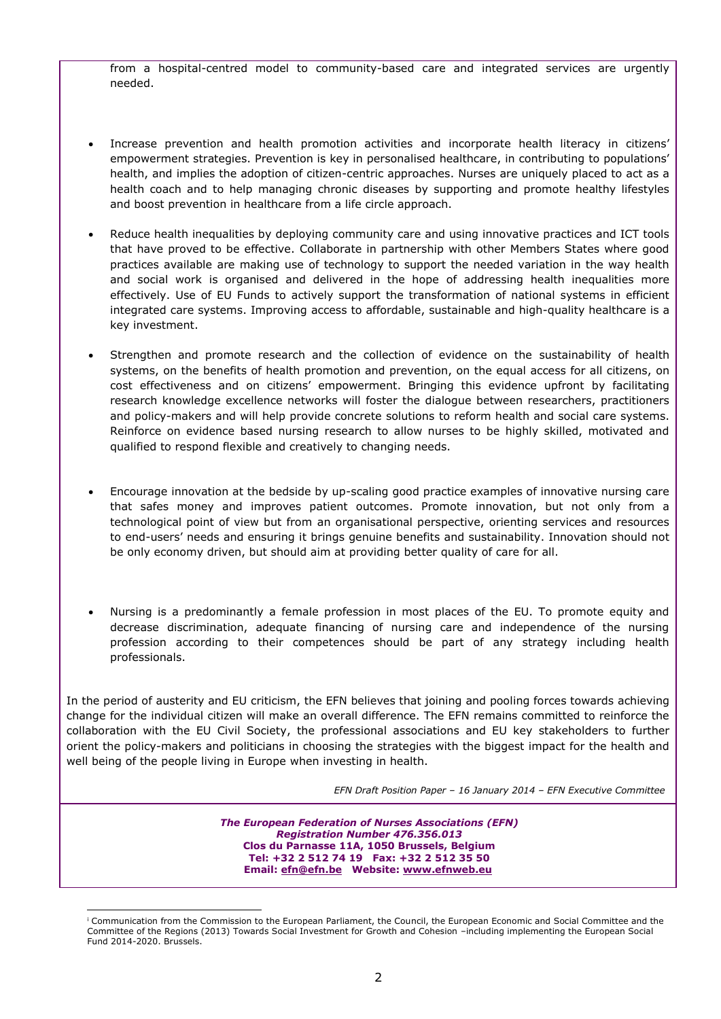from a hospital-centred model to community-based care and integrated services are urgently needed.

- Increase prevention and health promotion activities and incorporate health literacy in citizens' empowerment strategies. Prevention is key in personalised healthcare, in contributing to populations' health, and implies the adoption of citizen-centric approaches. Nurses are uniquely placed to act as a health coach and to help managing chronic diseases by supporting and promote healthy lifestyles and boost prevention in healthcare from a life circle approach.
- Reduce health inequalities by deploying community care and using innovative practices and ICT tools that have proved to be effective. Collaborate in partnership with other Members States where good practices available are making use of technology to support the needed variation in the way health and social work is organised and delivered in the hope of addressing health inequalities more effectively. Use of EU Funds to actively support the transformation of national systems in efficient integrated care systems. Improving access to affordable, sustainable and high-quality healthcare is a key investment.
- Strengthen and promote research and the collection of evidence on the sustainability of health systems, on the benefits of health promotion and prevention, on the equal access for all citizens, on cost effectiveness and on citizens' empowerment. Bringing this evidence upfront by facilitating research knowledge excellence networks will foster the dialogue between researchers, practitioners and policy-makers and will help provide concrete solutions to reform health and social care systems. Reinforce on evidence based nursing research to allow nurses to be highly skilled, motivated and qualified to respond flexible and creatively to changing needs.
- Encourage innovation at the bedside by up-scaling good practice examples of innovative nursing care that safes money and improves patient outcomes. Promote innovation, but not only from a technological point of view but from an organisational perspective, orienting services and resources to end-users' needs and ensuring it brings genuine benefits and sustainability. Innovation should not be only economy driven, but should aim at providing better quality of care for all.
- Nursing is a predominantly a female profession in most places of the EU. To promote equity and decrease discrimination, adequate financing of nursing care and independence of the nursing profession according to their competences should be part of any strategy including health professionals.

In the period of austerity and EU criticism, the EFN believes that joining and pooling forces towards achieving change for the individual citizen will make an overall difference. The EFN remains committed to reinforce the collaboration with the EU Civil Society, the professional associations and EU key stakeholders to further orient the policy-makers and politicians in choosing the strategies with the biggest impact for the health and well being of the people living in Europe when investing in health.

 *EFN Draft Position Paper – 16 January 2014 – EFN Executive Committee*

*The European Federation of Nurses Associations (EFN) Registration Number 476.356.013* **Clos du Parnasse 11A, 1050 Brussels, Belgium Tel: +32 2 512 74 19 Fax: +32 2 512 35 50 Email: [efn@efn.be](mailto:efn@efn.be) Website: [www.efnweb.eu](http://www.efnweb.eu/)**

-

<sup>i</sup> Communication from the Commission to the European Parliament, the Council, the European Economic and Social Committee and the Committee of the Regions (2013) Towards Social Investment for Growth and Cohesion –including implementing the European Social Fund 2014-2020. Brussels.